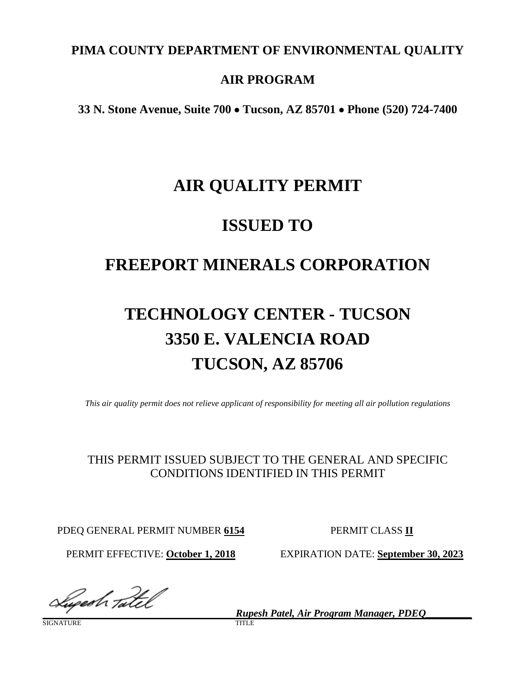### **PIMA COUNTY DEPARTMENT OF ENVIRONMENTAL QUALITY**

### **AIR PROGRAM**

**33 N. Stone Avenue, Suite 700** • **Tucson, AZ 85701** • **Phone (520) 724-7400**

## **AIR QUALITY PERMIT**

## **ISSUED TO**

## **FREEPORT MINERALS CORPORATION**

# **TECHNOLOGY CENTER - TUCSON 3350 E. VALENCIA ROAD TUCSON, AZ 85706**

*This air quality permit does not relieve applicant of responsibility for meeting all air pollution regulations*

### THIS PERMIT ISSUED SUBJECT TO THE GENERAL AND SPECIFIC CONDITIONS IDENTIFIED IN THIS PERMIT

PDEQ GENERAL PERMIT NUMBER 6154 PERMIT CLASS II

PERMIT EFFECTIVE: **October 1, 2018** EXPIRATION DATE: **September 30, 2023**

 *Rupesh Patel, Air Program Manager, PDEQ\_\_\_\_\_\_\_\_\_*

**SIGNATURE**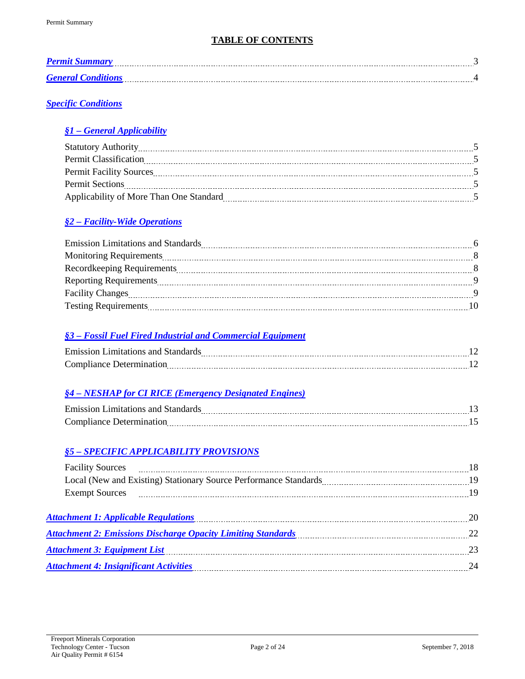### **TABLE OF CONTENTS**

| Permit              | . <del>.</del> |
|---------------------|----------------|
| <b>General</b> Cone |                |

### *[Specific Conditions](#page-4-0)*

#### *§1 – [General Applicability](#page-4-1)*

| <b>Statutory Authority</b>              |  |
|-----------------------------------------|--|
| <b>Permit Classification</b>            |  |
| <b>Permit Facility Sources</b>          |  |
| <b>Permit Sections</b>                  |  |
| Applicability of More Than One Standard |  |

### *§2 – [Facility-Wide Operations](#page-5-0)*

| <b>Emission Limitations and Standards</b> |     |
|-------------------------------------------|-----|
|                                           |     |
|                                           | - 8 |
|                                           |     |
|                                           |     |
| <b>Testing Requirements</b>               |     |

#### *§3 – [Fossil Fuel Fired Industrial and Commercial](#page-11-0) Equipment*

| $\Gamma$ and a solution $\Gamma$<br>مهمه كمصدقات<br>--------------------------------- | ------ |
|---------------------------------------------------------------------------------------|--------|
| ----                                                                                  |        |

### *§4 – NESHAP [for CI RICE \(Emergency Designated Engines\)](#page-12-0)*

| Emission Limitatic |  |
|--------------------|--|
| $\sim$<br>.        |  |

#### *§5 – [SPECIFIC APPLICABILITY PROVISIONS](#page-17-0)*

| Attachment 1: Applicable Regulations (20) 20 and the set of the Regulations of the Regulations of the Strategy |  |
|----------------------------------------------------------------------------------------------------------------|--|
| Attachment 2: Emissions Discharge Opacity Limiting Standards<br>22                                             |  |
| <b>Attachment 3: Equipment List</b>                                                                            |  |
| Attachment 4: Insignificant Activities <b>Exercise Activities</b> 24                                           |  |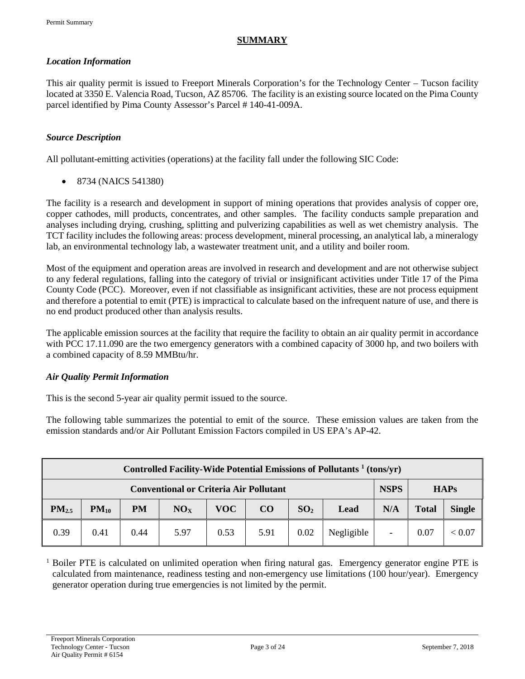#### <span id="page-2-0"></span>**SUMMARY**

#### <span id="page-2-1"></span>*Location Information*

This air quality permit is issued to Freeport Minerals Corporation's for the Technology Center – Tucson facility located at 3350 E. Valencia Road, Tucson, AZ 85706. The facility is an existing source located on the Pima County parcel identified by Pima County Assessor's Parcel # 140-41-009A.

#### *Source Description*

All pollutant-emitting activities (operations) at the facility fall under the following SIC Code:

• 8734 (NAICS 541380)

The facility is a research and development in support of mining operations that provides analysis of copper ore, copper cathodes, mill products, concentrates, and other samples. The facility conducts sample preparation and analyses including drying, crushing, splitting and pulverizing capabilities as well as wet chemistry analysis. The TCT facility includes the following areas: process development, mineral processing, an analytical lab, a mineralogy lab, an environmental technology lab, a wastewater treatment unit, and a utility and boiler room.

Most of the equipment and operation areas are involved in research and development and are not otherwise subject to any federal regulations, falling into the category of trivial or insignificant activities under Title 17 of the Pima County Code (PCC). Moreover, even if not classifiable as insignificant activities, these are not process equipment and therefore a potential to emit (PTE) is impractical to calculate based on the infrequent nature of use, and there is no end product produced other than analysis results.

The applicable emission sources at the facility that require the facility to obtain an air quality permit in accordance with PCC 17.11.090 are the two emergency generators with a combined capacity of 3000 hp, and two boilers with a combined capacity of 8.59 MMBtu/hr.

#### *Air Quality Permit Information*

This is the second 5-year air quality permit issued to the source.

The following table summarizes the potential to emit of the source. These emission values are taken from the emission standards and/or Air Pollutant Emission Factors compiled in US EPA's AP-42.

| Controlled Facility-Wide Potential Emissions of Pollutants <sup>1</sup> (tons/yr)                      |                                                                             |      |      |      |              |               |            |  |      |        |
|--------------------------------------------------------------------------------------------------------|-----------------------------------------------------------------------------|------|------|------|--------------|---------------|------------|--|------|--------|
|                                                                                                        | <b>NSPS</b><br><b>Conventional or Criteria Air Pollutant</b><br><b>HAPs</b> |      |      |      |              |               |            |  |      |        |
| PM <sub>2.5</sub><br>PM<br>VOC-<br>$\bf CO$<br>SO <sub>2</sub><br>NO <sub>x</sub><br>$PM_{10}$<br>Lead |                                                                             |      |      | N/A  | <b>Total</b> | <b>Single</b> |            |  |      |        |
| 0.39                                                                                                   | 0.41                                                                        | 0.44 | 5.97 | 0.53 | 5.91         | 0.02          | Negligible |  | 0.07 | < 0.07 |

 $1$  Boiler PTE is calculated on unlimited operation when firing natural gas. Emergency generator engine PTE is calculated from maintenance, readiness testing and non-emergency use limitations (100 hour/year). Emergency generator operation during true emergencies is not limited by the permit.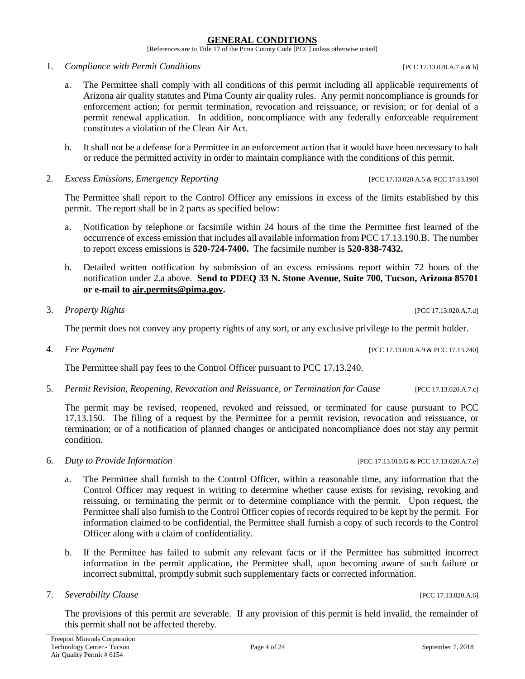#### **GENERAL CONDITIONS**

[References are to Title 17 of the Pima County Code [PCC] unless otherwise noted]

1. *Compliance with Permit Conditions* [PCC 17.13.020.A.7.a & b]

- a. The Permittee shall comply with all conditions of this permit including all applicable requirements of Arizona air quality statutes and Pima County air quality rules. Any permit noncompliance is grounds for enforcement action; for permit termination, revocation and reissuance, or revision; or for denial of a permit renewal application. In addition, noncompliance with any federally enforceable requirement constitutes a violation of the Clean Air Act.
- b. It shall not be a defense for a Permittee in an enforcement action that it would have been necessary to halt or reduce the permitted activity in order to maintain compliance with the conditions of this permit.
- 2. *Excess Emissions, Emergency Reporting* [PCC 17.13.020.A.5 & PCC 17.13.190]

The Permittee shall report to the Control Officer any emissions in excess of the limits established by this permit. The report shall be in 2 parts as specified below:

- a. Notification by telephone or facsimile within 24 hours of the time the Permittee first learned of the occurrence of excess emission that includes all available information from PCC 17.13.190.B. The number to report excess emissions is **520-724-7400.** The facsimile number is **520-838-7432.**
- b. Detailed written notification by submission of an excess emissions report within 72 hours of the notification under 2.a above. **Send to PDEQ 33 N. Stone Avenue, Suite 700, Tucson, Arizona 85701 or e-mail to [air.permits@pima.gov.](mailto:air.permits@pima.gov)**

#### 3. *Property Rights* [PCC 17.13.020.A.7.d]

The permit does not convey any property rights of any sort, or any exclusive privilege to the permit holder.

4. *Fee Payment* [PCC 17.13.020.A.9 & PCC 17.13.240]

The Permittee shall pay fees to the Control Officer pursuant to PCC 17.13.240.

5. *Permit Revision, Reopening, Revocation and Reissuance, or Termination for Cause* [PCC 17.13.020.A.7.c]

The permit may be revised, reopened, revoked and reissued, or terminated for cause pursuant to PCC 17.13.150. The filing of a request by the Permittee for a permit revision, revocation and reissuance, or termination; or of a notification of planned changes or anticipated noncompliance does not stay any permit condition.

- 6. *Duty to Provide Information* [PCC 17.13.010.G & PCC 17.13.020.A.7.e]
	- a. The Permittee shall furnish to the Control Officer, within a reasonable time, any information that the Control Officer may request in writing to determine whether cause exists for revising, revoking and reissuing, or terminating the permit or to determine compliance with the permit. Upon request, the Permittee shall also furnish to the Control Officer copies of records required to be kept by the permit. For information claimed to be confidential, the Permittee shall furnish a copy of such records to the Control Officer along with a claim of confidentiality.
	- b. If the Permittee has failed to submit any relevant facts or if the Permittee has submitted incorrect information in the permit application, the Permittee shall, upon becoming aware of such failure or incorrect submittal, promptly submit such supplementary facts or corrected information.
- 7. *Severability Clause* [PCC 17.13.020.A.6]

The provisions of this permit are severable. If any provision of this permit is held invalid, the remainder of this permit shall not be affected thereby.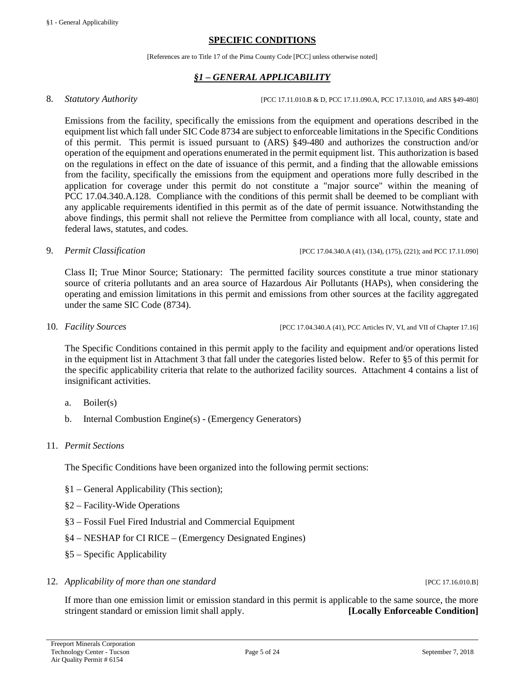#### **SPECIFIC CONDITIONS**

[References are to Title 17 of the Pima County Code [PCC] unless otherwise noted]

### *§1 – GENERAL APPLICABILITY*

<span id="page-4-1"></span><span id="page-4-0"></span>8. *Statutory Authority CCLEC 17.11.010.B & D, PCC 17.11.090.A, PCC 17.13.010, and ARS §49-480]* 

Emissions from the facility, specifically the emissions from the equipment and operations described in the equipment list which fall under SIC Code 8734 are subject to enforceable limitations in the Specific Conditions of this permit. This permit is issued pursuant to (ARS) §49-480 and authorizes the construction and/or operation of the equipment and operations enumerated in the permit equipment list. This authorization is based on the regulations in effect on the date of issuance of this permit, and a finding that the allowable emissions from the facility, specifically the emissions from the equipment and operations more fully described in the application for coverage under this permit do not constitute a "major source" within the meaning of PCC 17.04.340.A.128. Compliance with the conditions of this permit shall be deemed to be compliant with any applicable requirements identified in this permit as of the date of permit issuance. Notwithstanding the above findings, this permit shall not relieve the Permittee from compliance with all local, county, state and federal laws, statutes, and codes.

9. *Permit Classification* [PCC 17.04.340.A (41), (134), (175), (221); and PCC 17.11.090]

Class II; True Minor Source; Stationary: The permitted facility sources constitute a true minor stationary source of criteria pollutants and an area source of Hazardous Air Pollutants (HAPs), when considering the operating and emission limitations in this permit and emissions from other sources at the facility aggregated under the same SIC Code (8734).

10. *Facility Sources* [PCC 17.04.340.A (41), PCC Articles IV, VI, and VII of Chapter 17.16]

The Specific Conditions contained in this permit apply to the facility and equipment and/or operations listed in the equipment list in Attachment 3 that fall under the categories listed below. Refer to §5 of this permit for the specific applicability criteria that relate to the authorized facility sources. Attachment 4 contains a list of insignificant activities.

- a. Boiler(s)
- b. Internal Combustion Engine(s) (Emergency Generators)

#### 11. *Permit Sections*

The Specific Conditions have been organized into the following permit sections:

- §1 General Applicability (This section);
- §2 Facility-Wide Operations
- §3 Fossil Fuel Fired Industrial and Commercial Equipment
- §4 NESHAP for CI RICE (Emergency Designated Engines)
- §5 Specific Applicability
- 12. *Applicability of more than one standard* [PCC 17.16.010.B]

If more than one emission limit or emission standard in this permit is applicable to the same source, the more stringent standard or emission limit shall apply. **[Locally Enforceable Condition]**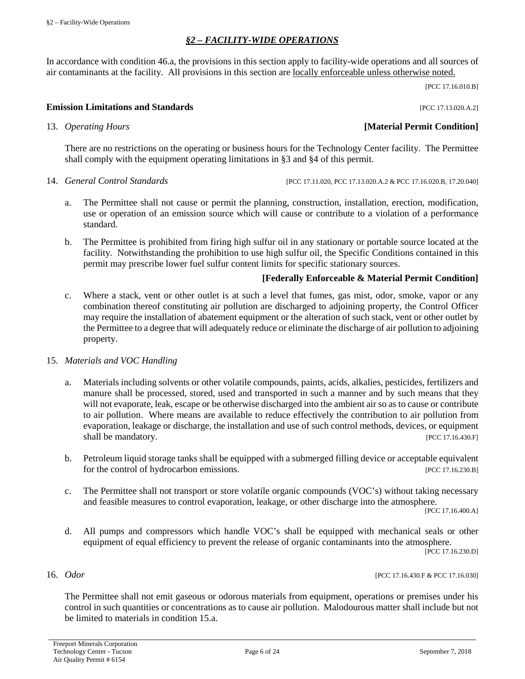### *§2 – FACILITY-WIDE OPERATIONS*

<span id="page-5-0"></span>In accordance with condition 46.a, the provisions in this section apply to facility-wide operations and all sources of air contaminants at the facility. All provisions in this section are locally enforceable unless otherwise noted.

[PCC 17.16.010.B]

#### **Emission Limitations and Standards Emission Limitations and Standards Executive Limitations and Standards Executive Limitations and Standards Executive Limitations and Standards**

#### 13. *Operating Hours* **[Material Permit Condition]**

There are no restrictions on the operating or business hours for the Technology Center facility. The Permittee shall comply with the equipment operating limitations in §3 and §4 of this permit.

14. *General Control Standards* [PCC 17.11.020, PCC 17.13.020.A.2 & PCC 17.16.020.B, 17.20.040]

- a. The Permittee shall not cause or permit the planning, construction, installation, erection, modification, use or operation of an emission source which will cause or contribute to a violation of a performance standard.
- b. The Permittee is prohibited from firing high sulfur oil in any stationary or portable source located at the facility. Notwithstanding the prohibition to use high sulfur oil, the Specific Conditions contained in this permit may prescribe lower fuel sulfur content limits for specific stationary sources.

#### **[Federally Enforceable & Material Permit Condition]**

c. Where a stack, vent or other outlet is at such a level that fumes, gas mist, odor, smoke, vapor or any combination thereof constituting air pollution are discharged to adjoining property, the Control Officer may require the installation of abatement equipment or the alteration of such stack, vent or other outlet by the Permittee to a degree that will adequately reduce or eliminate the discharge of air pollution to adjoining property.

#### 15. *Materials and VOC Handling*

- a. Materials including solvents or other volatile compounds, paints, acids, alkalies, pesticides, fertilizers and manure shall be processed, stored, used and transported in such a manner and by such means that they will not evaporate, leak, escape or be otherwise discharged into the ambient air so as to cause or contribute to air pollution. Where means are available to reduce effectively the contribution to air pollution from evaporation, leakage or discharge, the installation and use of such control methods, devices, or equipment shall be mandatory. [PCC 17.16.430.F]
- b. Petroleum liquid storage tanks shall be equipped with a submerged filling device or acceptable equivalent for the control of hydrocarbon emissions. [PCC 17.16.230.B]
- c. The Permittee shall not transport or store volatile organic compounds (VOC's) without taking necessary and feasible measures to control evaporation, leakage, or other discharge into the atmosphere.

[PCC 17.16.400.A]

d. All pumps and compressors which handle VOC's shall be equipped with mechanical seals or other equipment of equal efficiency to prevent the release of organic contaminants into the atmosphere.

[PCC 17.16.230.D]

16. *Odor* [PCC 17.16.430.F & PCC 17.16.030]

The Permittee shall not emit gaseous or odorous materials from equipment, operations or premises under his control in such quantities or concentrations as to cause air pollution. Malodourous matter shall include but not be limited to materials in condition 15.a.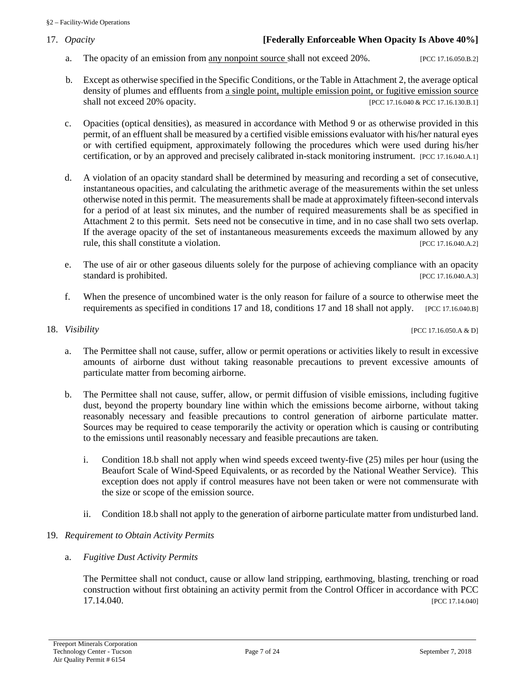### 17. *Opacity* **[Federally Enforceable When Opacity Is Above 40%]**

- a. The opacity of an emission from any nonpoint source shall not exceed 20%. [PCC 17.16.050.B.2]
- b. Except as otherwise specified in the Specific Conditions, or the Table in Attachment 2, the average optical density of plumes and effluents from a single point, multiple emission point, or fugitive emission source shall not exceed 20% opacity. [PCC 17.16.040 & PCC 17.16.130.B.1]
- c. Opacities (optical densities), as measured in accordance with Method 9 or as otherwise provided in this permit, of an effluent shall be measured by a certified visible emissions evaluator with his/her natural eyes or with certified equipment, approximately following the procedures which were used during his/her certification, or by an approved and precisely calibrated in-stack monitoring instrument. [PCC 17.16.040.A.1]
- d. A violation of an opacity standard shall be determined by measuring and recording a set of consecutive, instantaneous opacities, and calculating the arithmetic average of the measurements within the set unless otherwise noted in this permit. The measurements shall be made at approximately fifteen-second intervals for a period of at least six minutes, and the number of required measurements shall be as specified in Attachment 2 to this permit. Sets need not be consecutive in time, and in no case shall two sets overlap. If the average opacity of the set of instantaneous measurements exceeds the maximum allowed by any rule, this shall constitute a violation. [PCC 17.16.040.A.2]
- e. The use of air or other gaseous diluents solely for the purpose of achieving compliance with an opacity standard is prohibited. [PCC 17.16.040.A.3]
- f. When the presence of uncombined water is the only reason for failure of a source to otherwise meet the requirements as specified in conditions 17 and 18, conditions 17 and 18 shall not apply. [PCC 17.16.040.B]

18. *Visibility* [PCC 17.16.050.A & D]

- a. The Permittee shall not cause, suffer, allow or permit operations or activities likely to result in excessive amounts of airborne dust without taking reasonable precautions to prevent excessive amounts of particulate matter from becoming airborne.
- b. The Permittee shall not cause, suffer, allow, or permit diffusion of visible emissions, including fugitive dust, beyond the property boundary line within which the emissions become airborne, without taking reasonably necessary and feasible precautions to control generation of airborne particulate matter. Sources may be required to cease temporarily the activity or operation which is causing or contributing to the emissions until reasonably necessary and feasible precautions are taken.
	- i. Condition 18.b shall not apply when wind speeds exceed twenty-five (25) miles per hour (using the Beaufort Scale of Wind-Speed Equivalents, or as recorded by the National Weather Service). This exception does not apply if control measures have not been taken or were not commensurate with the size or scope of the emission source.
	- ii. Condition 18.b shall not apply to the generation of airborne particulate matter from undisturbed land.
- 19. *Requirement to Obtain Activity Permits*
	- a. *Fugitive Dust Activity Permits*

The Permittee shall not conduct, cause or allow land stripping, earthmoving, blasting, trenching or road construction without first obtaining an activity permit from the Control Officer in accordance with PCC 17.14.040. [PCC 17.14.040]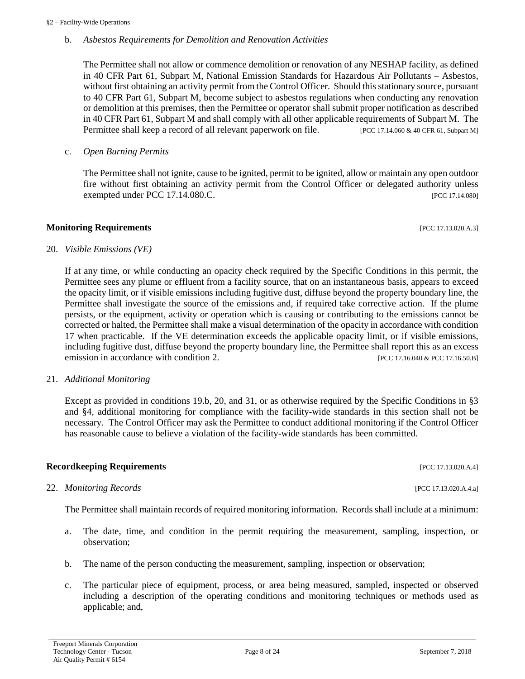#### b. *Asbestos Requirements for Demolition and Renovation Activities*

The Permittee shall not allow or commence demolition or renovation of any NESHAP facility, as defined in 40 CFR Part 61, Subpart M, National Emission Standards for Hazardous Air Pollutants – Asbestos, without first obtaining an activity permit from the Control Officer. Should this stationary source, pursuant to 40 CFR Part 61, Subpart M, become subject to asbestos regulations when conducting any renovation or demolition at this premises, then the Permittee or operator shall submit proper notification as described in 40 CFR Part 61, Subpart M and shall comply with all other applicable requirements of Subpart M. The Permittee shall keep a record of all relevant paperwork on file. [PCC 17.14.060 & 40 CFR 61, Subpart M]

#### c. *Open Burning Permits*

The Permittee shall not ignite, cause to be ignited, permit to be ignited, allow or maintain any open outdoor fire without first obtaining an activity permit from the Control Officer or delegated authority unless exempted under PCC 17.14.080.C. [PCC 17.14.080]

#### **Monitoring Requirements and the sequence of the sequence of the sequence of the sequence of the sequence of the sequence of the sequence of the sequence of the sequence of the sequence of the sequence of the sequence of**

### 20. *Visible Emissions (VE)*

If at any time, or while conducting an opacity check required by the Specific Conditions in this permit, the Permittee sees any plume or effluent from a facility source, that on an instantaneous basis, appears to exceed the opacity limit, or if visible emissions including fugitive dust, diffuse beyond the property boundary line, the Permittee shall investigate the source of the emissions and, if required take corrective action. If the plume persists, or the equipment, activity or operation which is causing or contributing to the emissions cannot be corrected or halted, the Permittee shall make a visual determination of the opacity in accordance with condition 17 when practicable. If the VE determination exceeds the applicable opacity limit, or if visible emissions, including fugitive dust, diffuse beyond the property boundary line, the Permittee shall report this as an excess emission in accordance with condition 2. [PCC 17.16.040 & PCC 17.16.50.B]

#### 21. *Additional Monitoring*

Except as provided in conditions 19.b, 20, and 31, or as otherwise required by the Specific Conditions in §3 and §4, additional monitoring for compliance with the facility-wide standards in this section shall not be necessary. The Control Officer may ask the Permittee to conduct additional monitoring if the Control Officer has reasonable cause to believe a violation of the facility-wide standards has been committed.

#### **Recordkeeping Requirements** [PCC 17.13.020.A.4]

#### 22. *Monitoring Records* [PCC 17.13.020.A.4.a]

The Permittee shall maintain records of required monitoring information. Records shall include at a minimum:

- a. The date, time, and condition in the permit requiring the measurement, sampling, inspection, or observation;
- b. The name of the person conducting the measurement, sampling, inspection or observation;
- c. The particular piece of equipment, process, or area being measured, sampled, inspected or observed including a description of the operating conditions and monitoring techniques or methods used as applicable; and,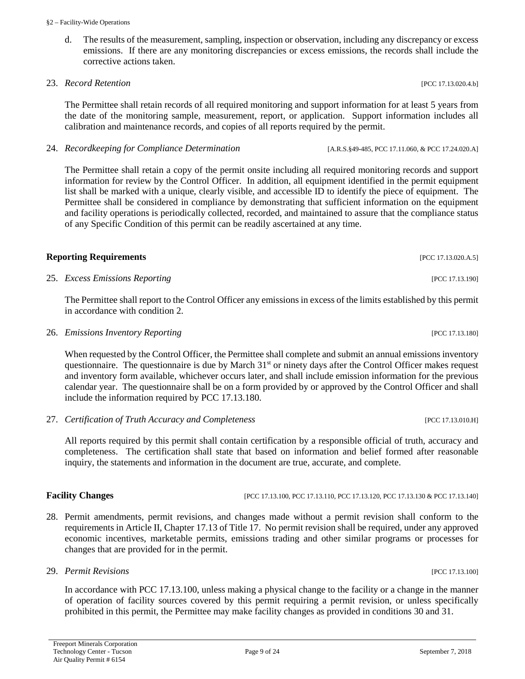#### §2 – Facility-Wide Operations

d. The results of the measurement, sampling, inspection or observation, including any discrepancy or excess emissions. If there are any monitoring discrepancies or excess emissions, the records shall include the corrective actions taken.

#### 23. *Record Retention* [PCC 17.13.020.4.b]

The Permittee shall retain records of all required monitoring and support information for at least 5 years from the date of the monitoring sample, measurement, report, or application. Support information includes all calibration and maintenance records, and copies of all reports required by the permit.

24. *Recordkeeping for Compliance Determination* [A.R.S.§49-485, PCC 17.11.060, & PCC 17.24.020.A]

The Permittee shall retain a copy of the permit onsite including all required monitoring records and support information for review by the Control Officer. In addition, all equipment identified in the permit equipment list shall be marked with a unique, clearly visible, and accessible ID to identify the piece of equipment. The Permittee shall be considered in compliance by demonstrating that sufficient information on the equipment and facility operations is periodically collected, recorded, and maintained to assure that the compliance status of any Specific Condition of this permit can be readily ascertained at any time.

#### **Reporting Requirements** [PCC 17.13.020.A.5]

25. *Excess Emissions Reporting* [PCC 17.13.190]

The Permittee shall report to the Control Officer any emissions in excess of the limits established by this permit in accordance with condition 2.

26. *Emissions Inventory Reporting* [PCC 17.13.180]

When requested by the Control Officer, the Permittee shall complete and submit an annual emissions inventory questionnaire. The questionnaire is due by March 31<sup>st</sup> or ninety days after the Control Officer makes request and inventory form available, whichever occurs later, and shall include emission information for the previous calendar year. The questionnaire shall be on a form provided by or approved by the Control Officer and shall include the information required by PCC 17.13.180.

27. *Certification of Truth Accuracy and Completeness* [PCC 17.13.010.H]

All reports required by this permit shall contain certification by a responsible official of truth, accuracy and completeness. The certification shall state that based on information and belief formed after reasonable inquiry, the statements and information in the document are true, accurate, and complete.

#### **Facility Changes** [PCC 17.13.100, PCC 17.13.110, PCC 17.13.120, PCC 17.13.130 & PCC 17.13.140]

28. Permit amendments, permit revisions, and changes made without a permit revision shall conform to the requirements in Article II, Chapter 17.13 of Title 17. No permit revision shall be required, under any approved economic incentives, marketable permits, emissions trading and other similar programs or processes for changes that are provided for in the permit.

#### 29. *Permit Revisions* [PCC 17.13.100]

In accordance with PCC 17.13.100, unless making a physical change to the facility or a change in the manner of operation of facility sources covered by this permit requiring a permit revision, or unless specifically prohibited in this permit, the Permittee may make facility changes as provided in conditions 30 and 31.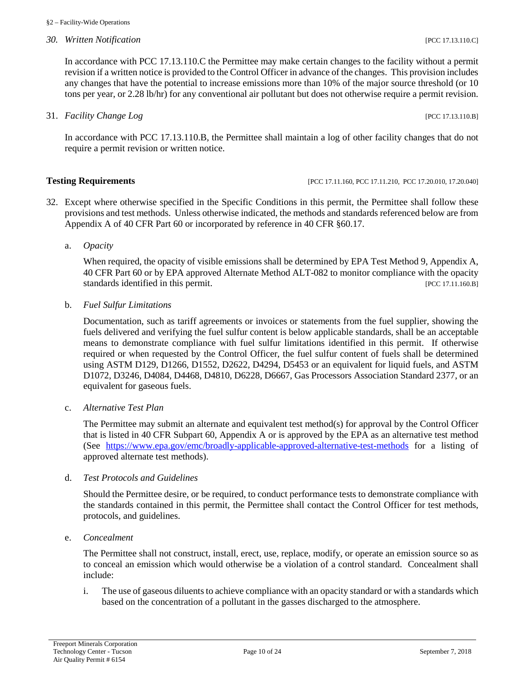*30. Written Notification* [PCC 17.13.110.C]

In accordance with PCC 17.13.110.C the Permittee may make certain changes to the facility without a permit revision if a written notice is provided to the Control Officer in advance of the changes. This provision includes any changes that have the potential to increase emissions more than 10% of the major source threshold (or 10 tons per year, or 2.28 lb/hr) for any conventional air pollutant but does not otherwise require a permit revision.

31. *Facility Change Log* [PCC 17.13.110.B]

In accordance with PCC 17.13.110.B, the Permittee shall maintain a log of other facility changes that do not require a permit revision or written notice.

#### **Testing Requirements** [PCC 17.11.160, PCC 17.11.160, PCC 17.11.210, PCC 17.20.010, 17.20.040]

- 32. Except where otherwise specified in the Specific Conditions in this permit, the Permittee shall follow these provisions and test methods. Unless otherwise indicated, the methods and standards referenced below are from Appendix A of 40 CFR Part 60 or incorporated by reference in 40 CFR §60.17.
	- a. *Opacity*

When required, the opacity of visible emissions shall be determined by EPA Test Method 9, Appendix A, 40 CFR Part 60 or by EPA approved Alternate Method ALT-082 to monitor compliance with the opacity standards identified in this permit. [PCC 17.11.160.B]

b. *Fuel Sulfur Limitations*

Documentation, such as tariff agreements or invoices or statements from the fuel supplier, showing the fuels delivered and verifying the fuel sulfur content is below applicable standards, shall be an acceptable means to demonstrate compliance with fuel sulfur limitations identified in this permit. If otherwise required or when requested by the Control Officer, the fuel sulfur content of fuels shall be determined using ASTM D129, D1266, D1552, D2622, D4294, D5453 or an equivalent for liquid fuels, and ASTM D1072, D3246, D4084, D4468, D4810, D6228, D6667, Gas Processors Association Standard 2377, or an equivalent for gaseous fuels.

c. *Alternative Test Plan*

The Permittee may submit an alternate and equivalent test method(s) for approval by the Control Officer that is listed in 40 CFR Subpart 60, Appendix A or is approved by the EPA as an alternative test method (See <https://www.epa.gov/emc/broadly-applicable-approved-alternative-test-methods> for a listing of approved alternate test methods).

d. *Test Protocols and Guidelines*

Should the Permittee desire, or be required, to conduct performance tests to demonstrate compliance with the standards contained in this permit, the Permittee shall contact the Control Officer for test methods, protocols, and guidelines.

e. *Concealment*

The Permittee shall not construct, install, erect, use, replace, modify, or operate an emission source so as to conceal an emission which would otherwise be a violation of a control standard. Concealment shall include:

i. The use of gaseous diluents to achieve compliance with an opacity standard or with a standards which based on the concentration of a pollutant in the gasses discharged to the atmosphere.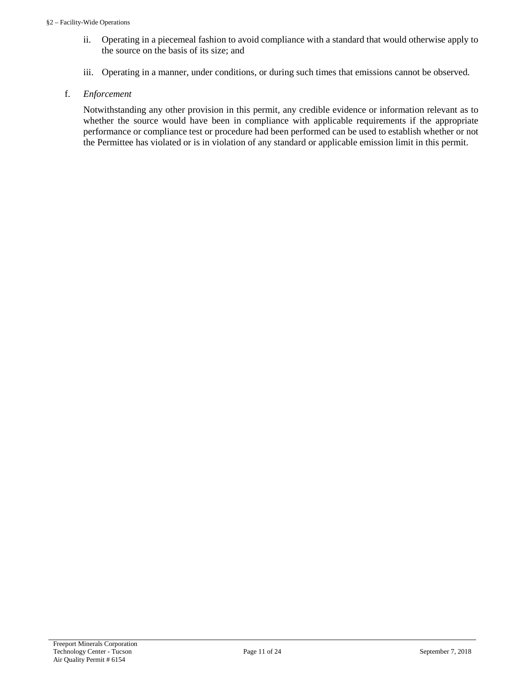- ii. Operating in a piecemeal fashion to avoid compliance with a standard that would otherwise apply to the source on the basis of its size; and
- iii. Operating in a manner, under conditions, or during such times that emissions cannot be observed.
- f. *Enforcement*

Notwithstanding any other provision in this permit, any credible evidence or information relevant as to whether the source would have been in compliance with applicable requirements if the appropriate performance or compliance test or procedure had been performed can be used to establish whether or not the Permittee has violated or is in violation of any standard or applicable emission limit in this permit.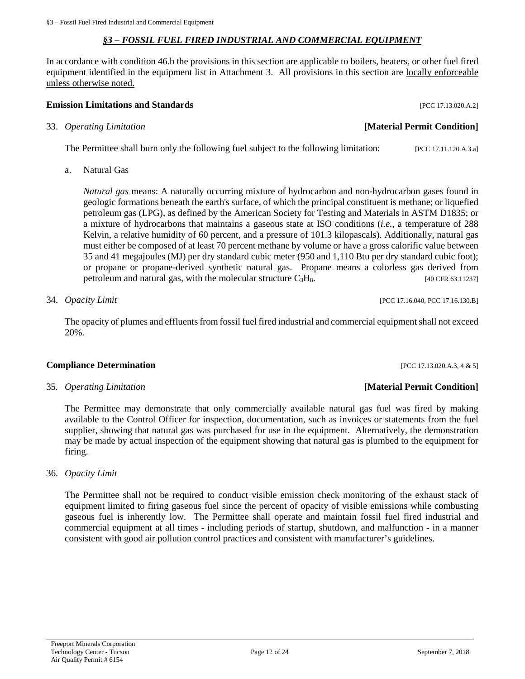#### *§3 – FOSSIL FUEL FIRED INDUSTRIAL AND COMMERCIAL EQUIPMENT*

<span id="page-11-0"></span>In accordance with condition 46.b the provisions in this section are applicable to boilers, heaters, or other fuel fired equipment identified in the equipment list in Attachment 3. All provisions in this section are locally enforceable unless otherwise noted.

#### **Emission Limitations and Standards Emission Limitations and Standards Exercísion**

#### 33. *Operating Limitation* **[Material Permit Condition]**

The Permittee shall burn only the following fuel subject to the following limitation: [PCC 17.11.120.A.3.a]

a. Natural Gas

*Natural gas* means: A naturally occurring mixture of hydrocarbon and non-hydrocarbon gases found in geologic formations beneath the earth's surface, of which the principal constituent is methane; or liquefied petroleum gas (LPG), as defined by the American Society for Testing and Materials in ASTM D1835; or a mixture of hydrocarbons that maintains a gaseous state at ISO conditions (*i.e.,* a temperature of 288 Kelvin, a relative humidity of 60 percent, and a pressure of 101.3 kilopascals). Additionally, natural gas must either be composed of at least 70 percent methane by volume or have a gross calorific value between 35 and 41 megajoules (MJ) per dry standard cubic meter (950 and 1,110 Btu per dry standard cubic foot); or propane or propane-derived synthetic natural gas. Propane means a colorless gas derived from petroleum and natural gas, with the molecular structure  $C_3H_8$ . [40 CFR 63.11237]

34. *Opacity Limit* [PCC 17.16.040, PCC 17.16.130.B]

The opacity of plumes and effluents from fossil fuel fired industrial and commercial equipment shall not exceed 20%.

#### **Compliance Determination** [PCC 17.13.020.A.3, 4 & 5]

The Permittee may demonstrate that only commercially available natural gas fuel was fired by making available to the Control Officer for inspection, documentation, such as invoices or statements from the fuel supplier, showing that natural gas was purchased for use in the equipment. Alternatively, the demonstration may be made by actual inspection of the equipment showing that natural gas is plumbed to the equipment for firing.

36. *Opacity Limit*

The Permittee shall not be required to conduct visible emission check monitoring of the exhaust stack of equipment limited to firing gaseous fuel since the percent of opacity of visible emissions while combusting gaseous fuel is inherently low. The Permittee shall operate and maintain fossil fuel fired industrial and commercial equipment at all times - including periods of startup, shutdown, and malfunction - in a manner consistent with good air pollution control practices and consistent with manufacturer's guidelines.

#### 35*. Operating Limitation* **[Material Permit Condition]**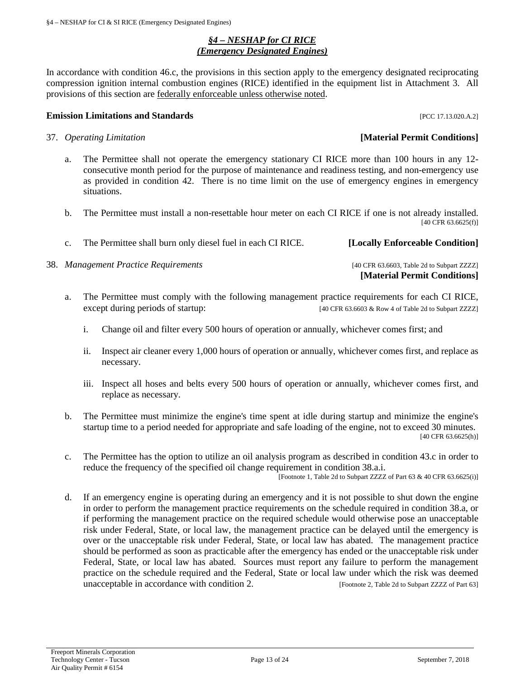#### *§4 – NESHAP for CI RICE (Emergency Designated Engines)*

<span id="page-12-0"></span>In accordance with condition 46.c, the provisions in this section apply to the emergency designated reciprocating compression ignition internal combustion engines (RICE) identified in the equipment list in Attachment 3. All provisions of this section are federally enforceable unless otherwise noted.

#### **Emission Limitations and Standards Emission Limitations and Standards Exercísion Exercísion Exercísion Exercísion**

- 37. *Operating Limitation* **[Material Permit Conditions]**
	- a. The Permittee shall not operate the emergency stationary CI RICE more than 100 hours in any 12 consecutive month period for the purpose of maintenance and readiness testing, and non-emergency use as provided in condition 42. There is no time limit on the use of emergency engines in emergency situations.
	- b. The Permittee must install a non-resettable hour meter on each CI RICE if one is not already installed. [40 CFR 63.6625(f)]
	- c. The Permittee shall burn only diesel fuel in each CI RICE. **[Locally Enforceable Condition]**
- 38. *Management Practice Requirements* [40 CFR 63.6603, Table 2d to Subpart ZZZZ]
	- a. The Permittee must comply with the following management practice requirements for each CI RICE,
		- except during periods of startup: [40 CFR 63.6603 & Row 4 of Table 2d to Subpart ZZZZ]
			- i. Change oil and filter every 500 hours of operation or annually, whichever comes first; and
			- ii. Inspect air cleaner every 1,000 hours of operation or annually, whichever comes first, and replace as necessary.
			- iii. Inspect all hoses and belts every 500 hours of operation or annually, whichever comes first, and replace as necessary.
	- b. The Permittee must minimize the engine's time spent at idle during startup and minimize the engine's startup time to a period needed for appropriate and safe loading of the engine, not to exceed 30 minutes. [40 CFR 63.6625(h)]
	- c. The Permittee has the option to utilize an oil analysis program as described in condition 43.c in order to reduce the frequency of the specified oil change requirement in condition 38.a.i.

[Footnote 1, Table 2d to Subpart ZZZZ of Part  $63 \& 40 \text{ CFR } 63.6625(i)$ ]

d. If an emergency engine is operating during an emergency and it is not possible to shut down the engine in order to perform the management practice requirements on the schedule required in condition 38.a, or if performing the management practice on the required schedule would otherwise pose an unacceptable risk under Federal, State, or local law, the management practice can be delayed until the emergency is over or the unacceptable risk under Federal, State, or local law has abated. The management practice should be performed as soon as practicable after the emergency has ended or the unacceptable risk under Federal, State, or local law has abated. Sources must report any failure to perform the management practice on the schedule required and the Federal, State or local law under which the risk was deemed unacceptable in accordance with condition 2. [Footnote 2, Table 2d to Subpart ZZZZ of Part 63]

**[Material Permit Conditions]**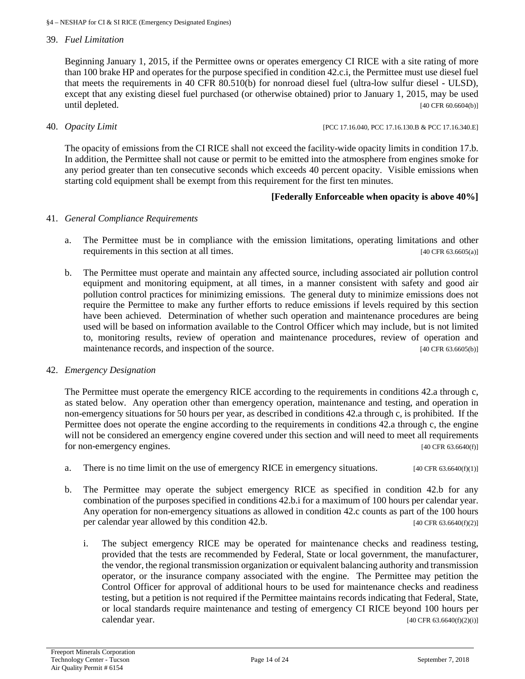#### 39. *Fuel Limitation*

Beginning January 1, 2015, if the Permittee owns or operates emergency CI RICE with a site rating of more than 100 brake HP and operates for the purpose specified in condition 42.c.i, the Permittee must use diesel fuel that meets the requirements in 40 CFR 80.510(b) for nonroad diesel fuel (ultra-low sulfur diesel - ULSD), except that any existing diesel fuel purchased (or otherwise obtained) prior to January 1, 2015, may be used until depleted.  $[40 \text{ CFR } 60.6604(b)]$ 

40. *Opacity Limit* [PCC 17.16.040, PCC 17.16.130.B & PCC 17.16.340.E]

The opacity of emissions from the CI RICE shall not exceed the facility-wide opacity limits in condition 17.b. In addition, the Permittee shall not cause or permit to be emitted into the atmosphere from engines smoke for any period greater than ten consecutive seconds which exceeds 40 percent opacity. Visible emissions when starting cold equipment shall be exempt from this requirement for the first ten minutes.

#### **[Federally Enforceable when opacity is above 40%]**

#### 41. *General Compliance Requirements*

- a. The Permittee must be in compliance with the emission limitations, operating limitations and other requirements in this section at all times. [40 CFR 63.6605(a)]
- b. The Permittee must operate and maintain any affected source, including associated air pollution control equipment and monitoring equipment, at all times, in a manner consistent with safety and good air pollution control practices for minimizing emissions. The general duty to minimize emissions does not require the Permittee to make any further efforts to reduce emissions if levels required by this section have been achieved. Determination of whether such operation and maintenance procedures are being used will be based on information available to the Control Officer which may include, but is not limited to, monitoring results, review of operation and maintenance procedures, review of operation and maintenance records, and inspection of the source. [40 CFR 63.6605(b)]

#### 42. *Emergency Designation*

The Permittee must operate the emergency RICE according to the requirements in conditions 42.a through c, as stated below. Any operation other than emergency operation, maintenance and testing, and operation in non-emergency situations for 50 hours per year, as described in conditions 42.a through c, is prohibited. If the Permittee does not operate the engine according to the requirements in conditions 42.a through c, the engine will not be considered an emergency engine covered under this section and will need to meet all requirements for non-emergency engines. [40 CFR 63.6640(f)]

- a. There is no time limit on the use of emergency RICE in emergency situations.  $[40 \text{ CFR } 63.6640(\text{f})(1)]$
- b. The Permittee may operate the subject emergency RICE as specified in condition 42.b for any combination of the purposes specified in conditions 42.b.i for a maximum of 100 hours per calendar year. Any operation for non-emergency situations as allowed in condition 42.c counts as part of the 100 hours per calendar year allowed by this condition 42.b. [40 CFR 63.6640(f)(2)]
	- i. The subject emergency RICE may be operated for maintenance checks and readiness testing, provided that the tests are recommended by Federal, State or local government, the manufacturer, the vendor, the regional transmission organization or equivalent balancing authority and transmission operator, or the insurance company associated with the engine. The Permittee may petition the Control Officer for approval of additional hours to be used for maintenance checks and readiness testing, but a petition is not required if the Permittee maintains records indicating that Federal, State, or local standards require maintenance and testing of emergency CI RICE beyond 100 hours per calendar year.  $[40 \text{ CFR } 63.6640 \text{ (f)}(2)(i)]$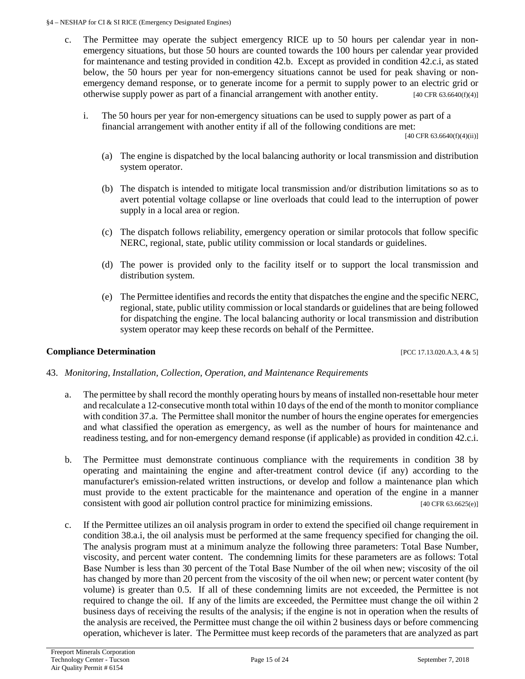#### §4 – NESHAP for CI & SI RICE (Emergency Designated Engines)

- c. The Permittee may operate the subject emergency RICE up to 50 hours per calendar year in nonemergency situations, but those 50 hours are counted towards the 100 hours per calendar year provided for maintenance and testing provided in condition 42.b. Except as provided in condition 42.c.i, as stated below, the 50 hours per year for non-emergency situations cannot be used for peak shaving or nonemergency demand response, or to generate income for a permit to supply power to an electric grid or otherwise supply power as part of a financial arrangement with another entity. [40 CFR 63.6640(f)(4)]
	- i. The 50 hours per year for non-emergency situations can be used to supply power as part of a financial arrangement with another entity if all of the following conditions are met:

 $[40 \text{ CFR } 63.6640(f)(4)(ii)]$ 

- (a) The engine is dispatched by the local balancing authority or local transmission and distribution system operator.
- (b) The dispatch is intended to mitigate local transmission and/or distribution limitations so as to avert potential voltage collapse or line overloads that could lead to the interruption of power supply in a local area or region.
- (c) The dispatch follows reliability, emergency operation or similar protocols that follow specific NERC, regional, state, public utility commission or local standards or guidelines.
- (d) The power is provided only to the facility itself or to support the local transmission and distribution system.
- (e) The Permittee identifies and records the entity that dispatches the engine and the specific NERC, regional, state, public utility commission or local standards or guidelines that are being followed for dispatching the engine. The local balancing authority or local transmission and distribution system operator may keep these records on behalf of the Permittee.

### **Compliance Determination** [PCC 17.13.020.A.3, 4 & 5]

#### 43. *Monitoring, Installation, Collection, Operation, and Maintenance Requirements*

- a. The permittee by shall record the monthly operating hours by means of installed non-resettable hour meter and recalculate a 12-consecutive month total within 10 days of the end of the month to monitor compliance with condition 37.a. The Permittee shall monitor the number of hours the engine operates for emergencies and what classified the operation as emergency, as well as the number of hours for maintenance and readiness testing, and for non-emergency demand response (if applicable) as provided in condition 42.c.i.
- b. The Permittee must demonstrate continuous compliance with the requirements in condition 38 by operating and maintaining the engine and after-treatment control device (if any) according to the manufacturer's emission-related written instructions, or develop and follow a maintenance plan which must provide to the extent practicable for the maintenance and operation of the engine in a manner consistent with good air pollution control practice for minimizing emissions. [40 CFR 63.6625(e)]
- c. If the Permittee utilizes an oil analysis program in order to extend the specified oil change requirement in condition 38.a.i, the oil analysis must be performed at the same frequency specified for changing the oil. The analysis program must at a minimum analyze the following three parameters: Total Base Number, viscosity, and percent water content. The condemning limits for these parameters are as follows: Total Base Number is less than 30 percent of the Total Base Number of the oil when new; viscosity of the oil has changed by more than 20 percent from the viscosity of the oil when new; or percent water content (by volume) is greater than 0.5. If all of these condemning limits are not exceeded, the Permittee is not required to change the oil. If any of the limits are exceeded, the Permittee must change the oil within 2 business days of receiving the results of the analysis; if the engine is not in operation when the results of the analysis are received, the Permittee must change the oil within 2 business days or before commencing operation, whichever is later. The Permittee must keep records of the parameters that are analyzed as part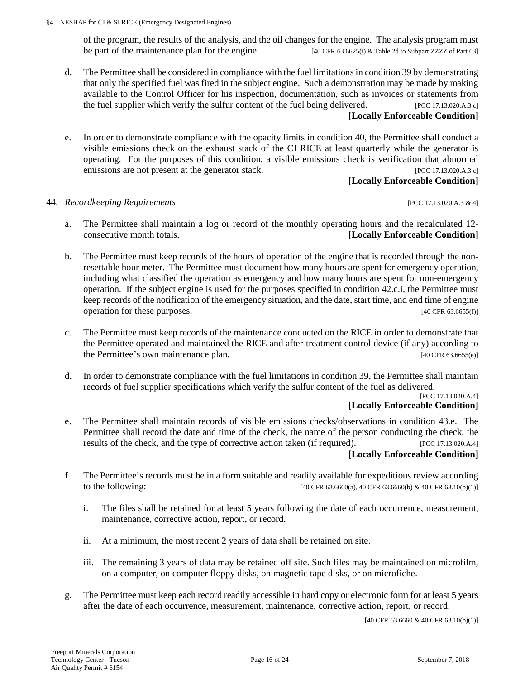of the program, the results of the analysis, and the oil changes for the engine. The analysis program must be part of the maintenance plan for the engine. [40 CFR 63.6625(i) & Table 2d to Subpart ZZZZ of Part 63]

- d. The Permittee shall be considered in compliance with the fuel limitations in condition 39 by demonstrating that only the specified fuel was fired in the subject engine. Such a demonstration may be made by making available to the Control Officer for his inspection, documentation, such as invoices or statements from the fuel supplier which verify the sulfur content of the fuel being delivered. [PCC 17.13.020.A.3.c] **[Locally Enforceable Condition]**
- e. In order to demonstrate compliance with the opacity limits in condition 40, the Permittee shall conduct a visible emissions check on the exhaust stack of the CI RICE at least quarterly while the generator is operating. For the purposes of this condition, a visible emissions check is verification that abnormal emissions are not present at the generator stack. [PCC 17.13.020.A.3.c]

#### **[Locally Enforceable Condition]**

#### 44. *Recordkeeping Requirements* [PCC 17.13.020.A.3 & 4]

- a. The Permittee shall maintain a log or record of the monthly operating hours and the recalculated 12 consecutive month totals. **[Locally Enforceable Condition]**
- b. The Permittee must keep records of the hours of operation of the engine that is recorded through the nonresettable hour meter. The Permittee must document how many hours are spent for emergency operation, including what classified the operation as emergency and how many hours are spent for non-emergency operation. If the subject engine is used for the purposes specified in condition 42.c.i, the Permittee must keep records of the notification of the emergency situation, and the date, start time, and end time of engine operation for these purposes. [40 CFR 63.6655(f)]
- c. The Permittee must keep records of the maintenance conducted on the RICE in order to demonstrate that the Permittee operated and maintained the RICE and after-treatment control device (if any) according to the Permittee's own maintenance plan. [40 CFR 63.6655(e)]
- d. In order to demonstrate compliance with the fuel limitations in condition 39, the Permittee shall maintain records of fuel supplier specifications which verify the sulfur content of the fuel as delivered.

#### [PCC 17.13.020.A.4] **[Locally Enforceable Condition]**

- e. The Permittee shall maintain records of visible emissions checks/observations in condition 43.e. The Permittee shall record the date and time of the check, the name of the person conducting the check, the results of the check, and the type of corrective action taken (if required). [PCC 17.13.020.A.4] **[Locally Enforceable Condition]**
- f. The Permittee's records must be in a form suitable and readily available for expeditious review according to the following: [40 CFR 63.6660(a), 40 CFR 63.6660(b) & 40 CFR 63.10(b)(1)]
	- i. The files shall be retained for at least 5 years following the date of each occurrence, measurement, maintenance, corrective action, report, or record.
	- ii. At a minimum, the most recent 2 years of data shall be retained on site.
	- iii. The remaining 3 years of data may be retained off site. Such files may be maintained on microfilm, on a computer, on computer floppy disks, on magnetic tape disks, or on microfiche.
- g. The Permittee must keep each record readily accessible in hard copy or electronic form for at least 5 years after the date of each occurrence, measurement, maintenance, corrective action, report, or record.

[40 CFR 63.6660 & 40 CFR 63.10(b)(1)]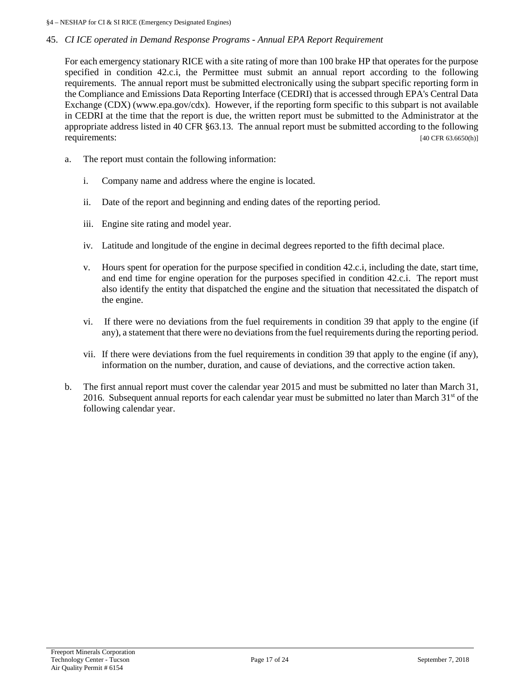#### §4 – NESHAP for CI & SI RICE (Emergency Designated Engines)

#### 45. *CI ICE operated in Demand Response Programs - Annual EPA Report Requirement*

For each emergency stationary RICE with a site rating of more than 100 brake HP that operates for the purpose specified in condition 42.c.i, the Permittee must submit an annual report according to the following requirements. The annual report must be submitted electronically using the subpart specific reporting form in the Compliance and Emissions Data Reporting Interface (CEDRI) that is accessed through EPA's Central Data Exchange (CDX) (www.epa.gov/cdx). However, if the reporting form specific to this subpart is not available in CEDRI at the time that the report is due, the written report must be submitted to the Administrator at the appropriate address listed in 40 CFR §63.13. The annual report must be submitted according to the following requirements:  $[40 \text{ CFR } 63.6650 \text{(h)}]$ 

- a. The report must contain the following information:
	- i. Company name and address where the engine is located.
	- ii. Date of the report and beginning and ending dates of the reporting period.
	- iii. Engine site rating and model year.
	- iv. Latitude and longitude of the engine in decimal degrees reported to the fifth decimal place.
	- v. Hours spent for operation for the purpose specified in condition 42.c.i, including the date, start time, and end time for engine operation for the purposes specified in condition 42.c.i. The report must also identify the entity that dispatched the engine and the situation that necessitated the dispatch of the engine.
	- vi. If there were no deviations from the fuel requirements in condition 39 that apply to the engine (if any), a statement that there were no deviations from the fuel requirements during the reporting period.
	- vii. If there were deviations from the fuel requirements in condition 39 that apply to the engine (if any), information on the number, duration, and cause of deviations, and the corrective action taken.
- b. The first annual report must cover the calendar year 2015 and must be submitted no later than March 31, 2016. Subsequent annual reports for each calendar year must be submitted no later than March  $31<sup>st</sup>$  of the following calendar year.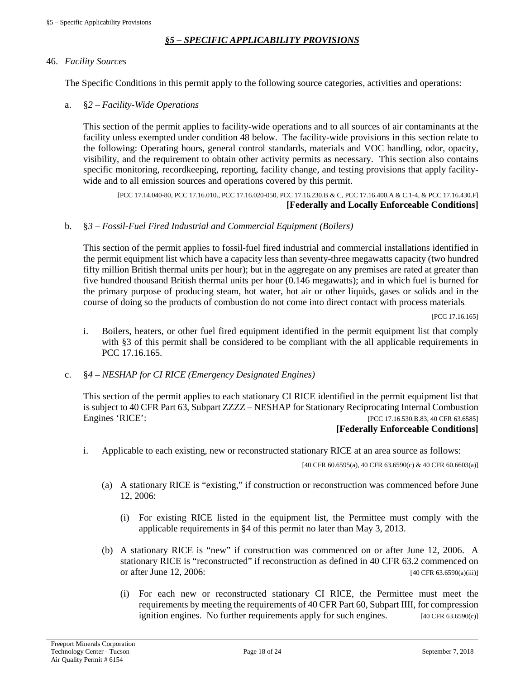#### *§5 – SPECIFIC APPLICABILITY PROVISIONS*

#### <span id="page-17-0"></span>46. *Facility Sources*

The Specific Conditions in this permit apply to the following source categories, activities and operations:

a. §*2 – Facility-Wide Operations*

This section of the permit applies to facility-wide operations and to all sources of air contaminants at the facility unless exempted under condition 48 below. The facility-wide provisions in this section relate to the following: Operating hours, general control standards, materials and VOC handling, odor, opacity, visibility, and the requirement to obtain other activity permits as necessary. This section also contains specific monitoring, recordkeeping, reporting, facility change, and testing provisions that apply facilitywide and to all emission sources and operations covered by this permit.

[PCC 17.14.040-80, PCC 17.16.010., PCC 17.16.020-050, PCC 17.16.230.B & C, PCC 17.16.400.A & C.1-4, & PCC 17.16.430.F] **[Federally and Locally Enforceable Conditions]**

#### b. §*3 – Fossil-Fuel Fired Industrial and Commercial Equipment (Boilers)*

This section of the permit applies to fossil-fuel fired industrial and commercial installations identified in the permit equipment list which have a capacity less than seventy-three megawatts capacity (two hundred fifty million British thermal units per hour); but in the aggregate on any premises are rated at greater than five hundred thousand British thermal units per hour (0.146 megawatts); and in which fuel is burned for the primary purpose of producing steam, hot water, hot air or other liquids, gases or solids and in the course of doing so the products of combustion do not come into direct contact with process materials.

[PCC 17.16.165]

- i. Boilers, heaters, or other fuel fired equipment identified in the permit equipment list that comply with §3 of this permit shall be considered to be compliant with the all applicable requirements in PCC 17.16.165.
- c. §*4 – NESHAP for CI RICE (Emergency Designated Engines)*

This section of the permit applies to each stationary CI RICE identified in the permit equipment list that is subject to 40 CFR Part 63, Subpart ZZZZ – [NESHAP for Stationary Reciprocating Internal Combustion](http://www.ecfr.gov/cgi-bin/retrieveECFR?gp=&SID=62e3f31ce314b3bb87f41b64933b6fc9&mc=true&n=sp40.15.63.zzzz&r=SUBPART&ty=HTML)  [Engines](http://www.ecfr.gov/cgi-bin/retrieveECFR?gp=&SID=62e3f31ce314b3bb87f41b64933b6fc9&mc=true&n=sp40.15.63.zzzz&r=SUBPART&ty=HTML) 'RICE': [PCC 17.16.530.B.83, 40 CFR 63.6585]

#### **[Federally Enforceable Conditions]**

i. Applicable to each existing, new or reconstructed stationary RICE at an area source as follows:

[40 CFR 60.6595(a), 40 CFR 63.6590(c) & 40 CFR 60.6603(a)]

- (a) A stationary RICE is "existing," if construction or reconstruction was commenced before June 12, 2006:
	- (i) For existing RICE listed in the equipment list, the Permittee must comply with the applicable requirements in §4 of this permit no later than May 3, 2013.
- (b) A stationary RICE is "new" if construction was commenced on or after June 12, 2006. A stationary RICE is "reconstructed" if reconstruction as defined in 40 CFR 63.2 commenced on or after June 12, 2006:  $[40 \text{ CFR } 63.6590(a)(iii)]$ 
	- (i) For each new or reconstructed stationary CI RICE, the Permittee must meet the requirements by meeting the requirements of 40 CFR Part 60, Subpart IIII, for compression ignition engines. No further requirements apply for such engines. [40 CFR 63.6590(c)]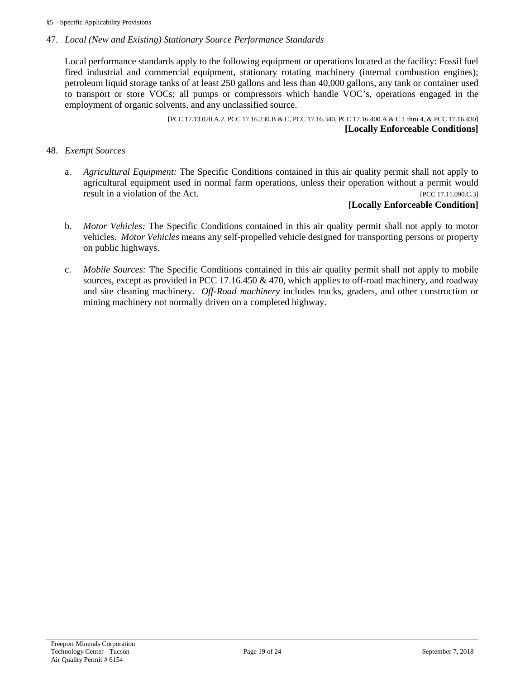#### 47. *Local (New and Existing) Stationary Source Performance Standards*

Local performance standards apply to the following equipment or operations located at the facility: Fossil fuel fired industrial and commercial equipment, stationary rotating machinery (internal combustion engines); petroleum liquid storage tanks of at least 250 gallons and less than 40,000 gallons, any tank or container used to transport or store VOCs; all pumps or compressors which handle VOC's, operations engaged in the employment of organic solvents, and any unclassified source.

> [PCC 17.13.020.A.2, PCC 17.16.230.B & C, PCC 17.16.340, PCC 17.16.400.A & C.1 thru 4, & PCC 17.16.430] **[Locally Enforceable Conditions]**

#### 48. *Exempt Sources*

a. *Agricultural Equipment:* The Specific Conditions contained in this air quality permit shall not apply to agricultural equipment used in normal farm operations, unless their operation without a permit would result in a violation of the Act. [PCC 17.11.090.C.3]

#### **[Locally Enforceable Condition]**

- b. *Motor Vehicles:* The Specific Conditions contained in this air quality permit shall not apply to motor vehicles. *Motor Vehicles* means any self-propelled vehicle designed for transporting persons or property on public highways.
- c. *Mobile Sources:* The Specific Conditions contained in this air quality permit shall not apply to mobile sources, except as provided in PCC 17.16.450 & 470, which applies to off-road machinery, and roadway and site cleaning machinery. *Off-Road machinery* includes trucks, graders, and other construction or mining machinery not normally driven on a completed highway.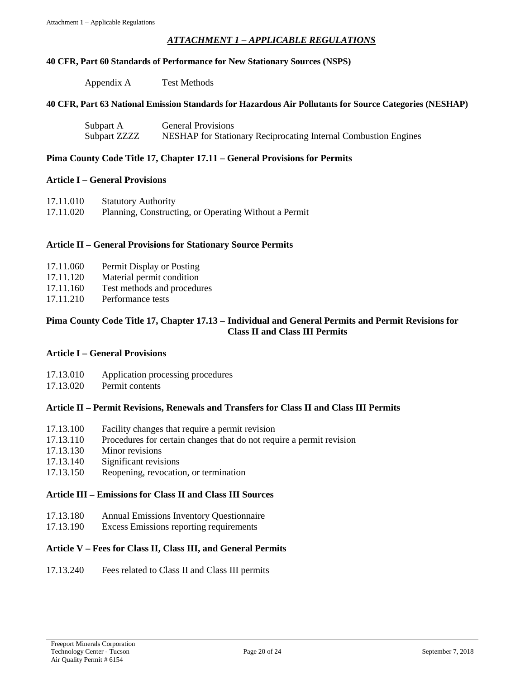#### *ATTACHMENT 1 – APPLICABLE REGULATIONS*

#### <span id="page-19-0"></span>**40 CFR, Part 60 Standards of Performance for New Stationary Sources (NSPS)**

| Appendix A | <b>Test Methods</b> |
|------------|---------------------|
|            |                     |

#### **40 CFR, Part 63 National Emission Standards for Hazardous Air Pollutants for Source Categories (NESHAP)**

| Subpart A    | <b>General Provisions</b>                                       |
|--------------|-----------------------------------------------------------------|
| Subpart ZZZZ | NESHAP for Stationary Reciprocating Internal Combustion Engines |

#### **Pima County Code Title 17, Chapter 17.11 – General Provisions for Permits**

#### **Article I – General Provisions**

| 17.11.010 | <b>Statutory Authority</b>                            |
|-----------|-------------------------------------------------------|
| 17.11.020 | Planning, Constructing, or Operating Without a Permit |

#### **Article II – General Provisions for Stationary Source Permits**

- 17.11.060 Permit Display or Posting
- 17.11.120 Material permit condition
- 17.11.160 Test methods and procedures
- 17.11.210 Performance tests

#### **Pima County Code Title 17, Chapter 17.13 – Individual and General Permits and Permit Revisions for Class II and Class III Permits**

#### **Article I – General Provisions**

- 17.13.010 Application processing procedures
- 17.13.020 Permit contents

#### **Article II – Permit Revisions, Renewals and Transfers for Class II and Class III Permits**

- 17.13.100 Facility changes that require a permit revision
- 17.13.110 Procedures for certain changes that do not require a permit revision
- 17.13.130 Minor revisions
- 17.13.140 Significant revisions
- 17.13.150 Reopening, revocation, or termination

#### **Article III – Emissions for Class II and Class III Sources**

- 17.13.180 Annual Emissions Inventory Questionnaire
- 17.13.190 Excess Emissions reporting requirements

#### **Article V – Fees for Class II, Class III, and General Permits**

#### 17.13.240 Fees related to Class II and Class III permits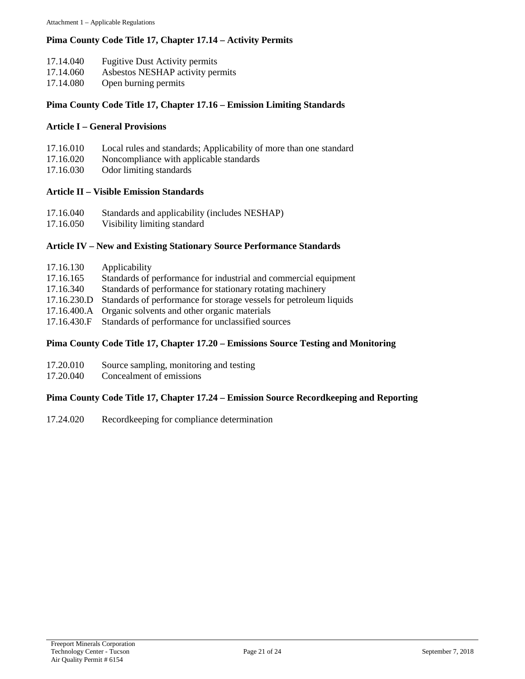#### **Pima County Code Title 17, Chapter 17.14 – Activity Permits**

- 17.14.040 Fugitive Dust Activity permits
- 17.14.060 Asbestos NESHAP activity permits
- 17.14.080 Open burning permits

#### **Pima County Code Title 17, Chapter 17.16 – Emission Limiting Standards**

#### **Article I – General Provisions**

- 17.16.010 Local rules and standards; Applicability of more than one standard
- 17.16.020 Noncompliance with applicable standards
- 17.16.030 Odor limiting standards

#### **Article II – Visible Emission Standards**

- 17.16.040 Standards and applicability (includes NESHAP)
- 17.16.050 Visibility limiting standard

#### **Article IV – New and Existing Stationary Source Performance Standards**

- 17.16.130 Applicability
- 17.16.165 Standards of performance for industrial and commercial equipment
- 17.16.340 Standards of performance for stationary rotating machinery
- 17.16.230.D Standards of performance for storage vessels for petroleum liquids
- 17.16.400.A Organic solvents and other organic materials
- 17.16.430.F Standards of performance for unclassified sources

#### **Pima County Code Title 17, Chapter 17.20 – Emissions Source Testing and Monitoring**

- 17.20.010 Source sampling, monitoring and testing
- 17.20.040 Concealment of emissions

#### **Pima County Code Title 17, Chapter 17.24 – Emission Source Recordkeeping and Reporting**

17.24.020 Recordkeeping for compliance determination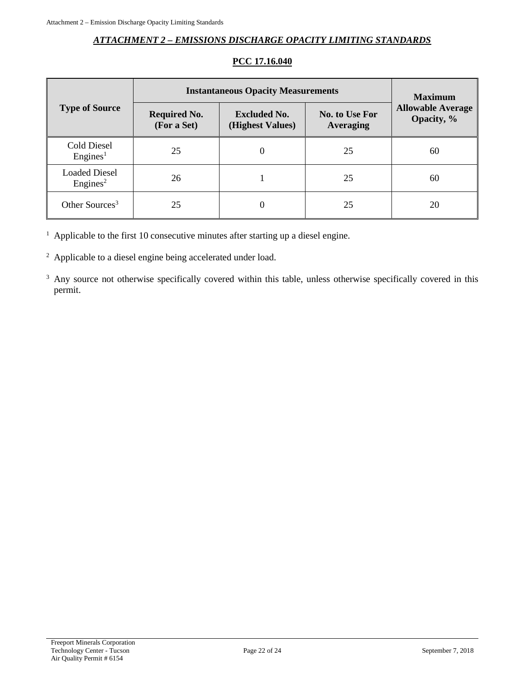#### *ATTACHMENT 2 – EMISSIONS DISCHARGE OPACITY LIMITING STANDARDS*

<span id="page-21-0"></span>

|                                              | <b>Instantaneous Opacity Measurements</b> | <b>Maximum</b>                          |                                           |                                        |  |
|----------------------------------------------|-------------------------------------------|-----------------------------------------|-------------------------------------------|----------------------------------------|--|
| <b>Type of Source</b>                        | <b>Required No.</b><br>(For a Set)        | <b>Excluded No.</b><br>(Highest Values) | <b>No. to Use For</b><br><b>Averaging</b> | <b>Allowable Average</b><br>Opacity, % |  |
| Cold Diesel<br>$English_{2}$                 | 25                                        | $\theta$                                | 25                                        | 60                                     |  |
| <b>Loaded Diesel</b><br>Engines <sup>2</sup> | 26                                        |                                         | 25                                        | 60                                     |  |
| Other Sources <sup>3</sup>                   | 25                                        |                                         | 25                                        | 20                                     |  |

### **PCC 17.16.040**

<sup>1</sup> Applicable to the first 10 consecutive minutes after starting up a diesel engine.

<sup>2</sup> Applicable to a diesel engine being accelerated under load.

<sup>3</sup> Any source not otherwise specifically covered within this table, unless otherwise specifically covered in this permit.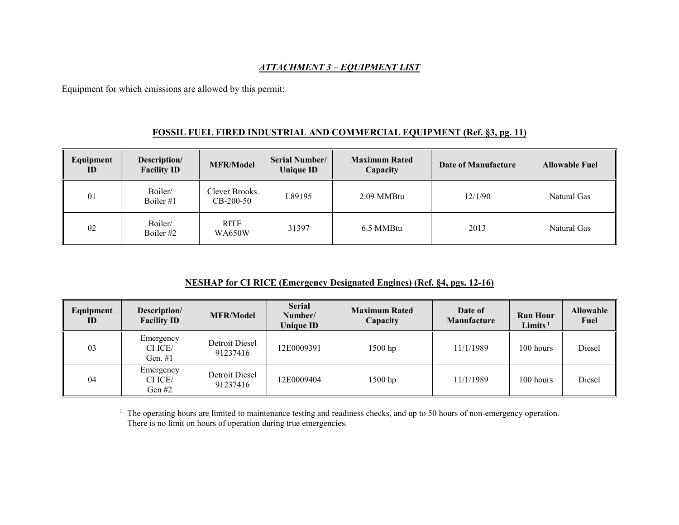#### *ATTACHMENT 3 – EQUIPMENT LIST*

Equipment for which emissions are allowed by this permit:

#### **FOSSIL FUEL FIRED INDUSTRIAL AND COMMERCIAL EQUIPMENT (Ref. §3, pg. 11)**

| Equipment<br>ID | Description/<br><b>Facility ID</b> | <b>MFR/Model</b>             | <b>Serial Number/</b><br><b>Unique ID</b> | <b>Maximum Rated</b><br>Capacity | Date of Manufacture | <b>Allowable Fuel</b> |
|-----------------|------------------------------------|------------------------------|-------------------------------------------|----------------------------------|---------------------|-----------------------|
| 01              | Boiler/<br>Boiler #1               | Clever Brooks<br>$CB-200-50$ | L89195                                    | 2.09 MMBtu                       | 12/1/90             | Natural Gas           |
| 02              | Boiler/<br>Boiler $#2$             | <b>RITE</b><br><b>WA650W</b> | 31397                                     | 6.5 MMBtu                        | 2013                | Natural Gas           |

#### **NESHAP for CI RICE (Emergency Designated Engines) (Ref. §4, pgs. 12-16)**

| Equipment<br>ID | Description/<br><b>Facility ID</b> | <b>MFR/Model</b>           | <b>Serial</b><br>Number/<br><b>Unique ID</b> | <b>Maximum Rated</b><br>Capacity | Date of<br>Manufacture | <b>Run Hour</b><br>Limits $1$ | <b>Allowable</b><br>Fuel |
|-----------------|------------------------------------|----------------------------|----------------------------------------------|----------------------------------|------------------------|-------------------------------|--------------------------|
| 03              | Emergency<br>CI ICE/<br>Gen. $#1$  | Detroit Diesel<br>91237416 | 12E0009391                                   | $1500$ hp                        | 11/1/1989              | 100 hours                     | Diesel                   |
| 04              | Emergency<br>CI ICE/<br>Gen #2     | Detroit Diesel<br>91237416 | 12E0009404                                   | 1500 hp                          | 11/1/1989              | 100 hours                     | Diesel                   |

<sup>1</sup> The operating hours are limited to maintenance testing and readiness checks, and up to 50 hours of non-emergency operation. There is no limit on hours of operation during true emergencies.